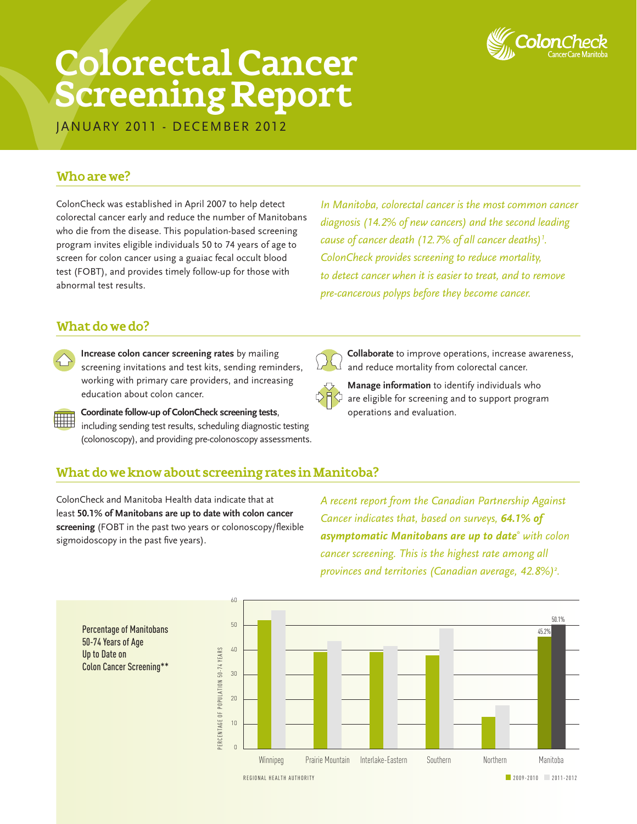

# **Colorectal Cancer Screening Report**

JANUARY 2011 - DECEMBER 2012

# **Who are we?**

ColonCheck was established in April 2007 to help detect colorectal cancer early and reduce the number of Manitobans who die from the disease. This population-based screening program invites eligible individuals 50 to 74 years of age to screen for colon cancer using a guaiac fecal occult blood test (FOBT), and provides timely follow-up for those with abnormal test results.

*In Manitoba, colorectal cancer is the most common cancer diagnosis (14.2% of new cancers) and the second leading cause of cancer death (12.7% of all cancer deaths)<sup>1</sup> . ColonCheck provides screening to reduce mortality, to detect cancer when it is easier to treat, and to remove pre-cancerous polyps before they become cancer.*

# **What do we do?**

- **Increase colon cancer screening rates** by mailing screening invitations and test kits, sending reminders, working with primary care providers, and increasing education about colon cancer.
- **Coordinate follow-up of ColonCheck screening tests**, including sending test results, scheduling diagnostic testing (colonoscopy), and providing pre-colonoscopy assessments.



 **Collaborate** to improve operations, increase awareness, and reduce mortality from colorectal cancer.



 **Manage information** to identify individuals who are eligible for screening and to support program operations and evaluation.

## **What do we know about screening rates in Manitoba?**

ColonCheck and Manitoba Health data indicate that at least **50.1% of Manitobans are up to date with colon cancer screening** (FOBT in the past two years or colonoscopy/flexible sigmoidoscopy in the past five years).

*A recent report from the Canadian Partnership Against Cancer indicates that, based on surveys, 64.1% of asymptomatic Manitobans are up to date\* with colon cancer screening. This is the highest rate among all provinces and territories (Canadian average, 42.8%)2 .*



Percentage of Manitobans 50-74 Years of Age Up to Date on Colon Cancer Screening\*\*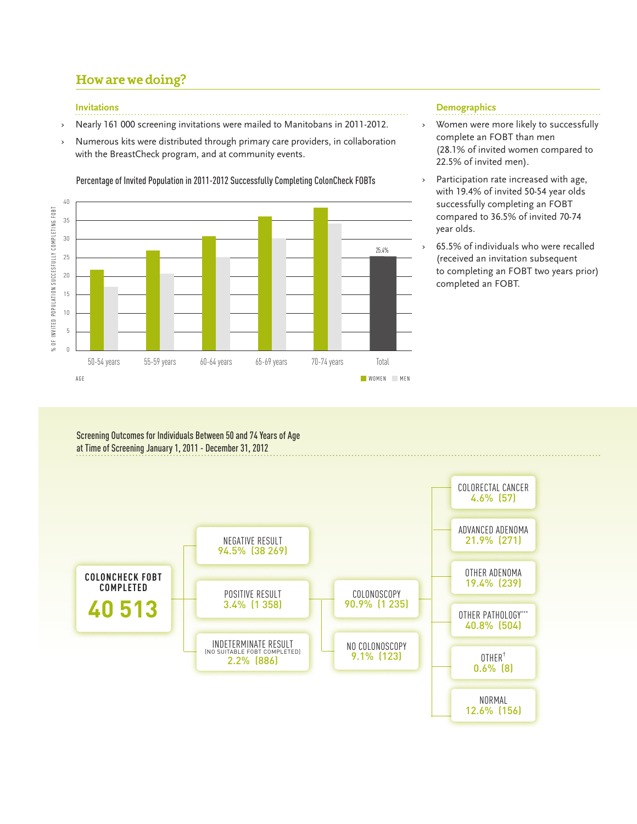# **How are we doing?**

#### **Invitations**

- › Nearly 161 000 screening invitations were mailed to Manitobans in 2011-2012.
- Numerous kits were distributed through primary care providers, in collaboration with the BreastCheck program, and at community events.

Percentage of Invited Population in 2011-2012 Successfully Completing ColonCheck FOBTs



#### **Demographics**

- › Women were more likely to successfully complete an FOBT than men (28.1% of invited women compared to 22.5% of invited men).
- › Participation rate increased with age, with 19.4% of invited 50-54 year olds successfully completing an FOBT compared to 36.5% of invited 70-74 year olds.
- › 65.5% of individuals who were recalled (received an invitation subsequent to completing an FOBT two years prior) completed an FOBT.

Screening Outcomes for Individuals Between 50 and 74 Years of Age at Time of Screening January 1, 2011 - December 31, 2012

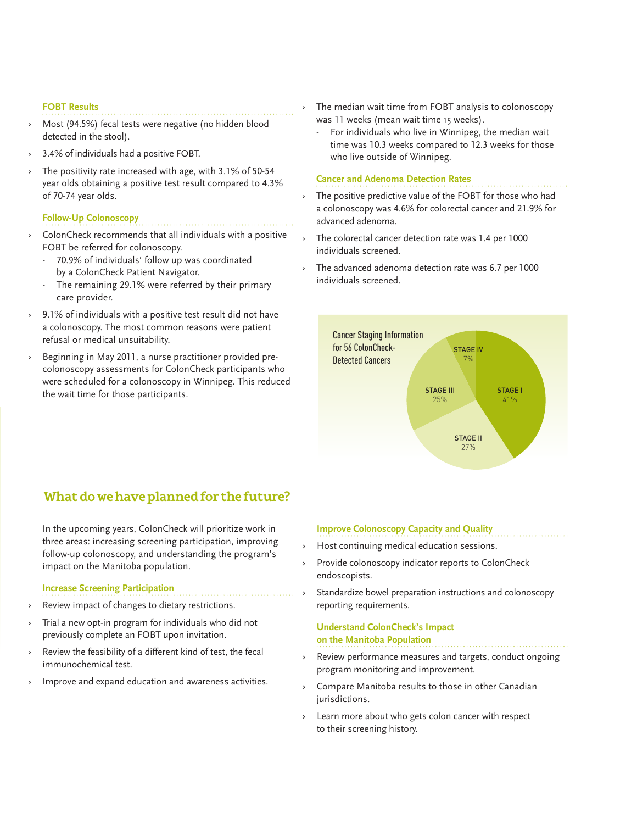#### **FOBT Results**

- Most (94.5%) fecal tests were negative (no hidden blood detected in the stool).
- 3.4% of individuals had a positive FOBT.
- The positivity rate increased with age, with 3.1% of 50-54 year olds obtaining a positive test result compared to 4.3% of 70-74 year olds.

#### **Follow-Up Colonoscopy**

- ColonCheck recommends that all individuals with a positive FOBT be referred for colonoscopy.
	- 70.9% of individuals' follow up was coordinated by a ColonCheck Patient Navigator.
	- The remaining 29.1% were referred by their primary care provider.
- › 9.1% of individuals with a positive test result did not have a colonoscopy. The most common reasons were patient refusal or medical unsuitability.
- › Beginning in May 2011, a nurse practitioner provided precolonoscopy assessments for ColonCheck participants who were scheduled for a colonoscopy in Winnipeg. This reduced the wait time for those participants.

The median wait time from FOBT analysis to colonoscopy was 11 weeks (mean wait time 15 weeks).

 - For individuals who live in Winnipeg, the median wait time was 10.3 weeks compared to 12.3 weeks for those who live outside of Winnipeg.

#### **Cancer and Adenoma Detection Rates**

- The positive predictive value of the FOBT for those who had a colonoscopy was 4.6% for colorectal cancer and 21.9% for advanced adenoma.
- The colorectal cancer detection rate was 1.4 per 1000 individuals screened.
- The advanced adenoma detection rate was 6.7 per 1000 individuals screened.



# **What do we have planned for the future?**

 In the upcoming years, ColonCheck will prioritize work in three areas: increasing screening participation, improving follow-up colonoscopy, and understanding the program's impact on the Manitoba population.

#### **Increase Screening Participation**

- Review impact of changes to dietary restrictions.
- Trial a new opt-in program for individuals who did not previously complete an FOBT upon invitation.
- Review the feasibility of a different kind of test, the fecal immunochemical test.
- Improve and expand education and awareness activities.

#### **Improve Colonoscopy Capacity and Quality**

- Host continuing medical education sessions.
- Provide colonoscopy indicator reports to ColonCheck endoscopists.
- Standardize bowel preparation instructions and colonoscopy reporting requirements.

#### **Understand ColonCheck's Impact on the Manitoba Population**

- Review performance measures and targets, conduct ongoing program monitoring and improvement.
- Compare Manitoba results to those in other Canadian jurisdictions.
- Learn more about who gets colon cancer with respect to their screening history.